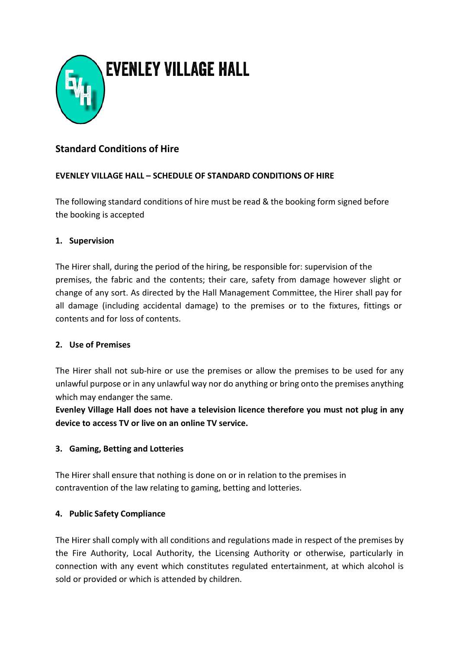

# **Standard Conditions of Hire**

# **EVENLEY VILLAGE HALL – SCHEDULE OF STANDARD CONDITIONS OF HIRE**

The following standard conditions of hire must be read & the booking form signed before the booking is accepted

## **1. Supervision**

The Hirer shall, during the period of the hiring, be responsible for: supervision of the premises, the fabric and the contents; their care, safety from damage however slight or change of any sort. As directed by the Hall Management Committee, the Hirer shall pay for all damage (including accidental damage) to the premises or to the fixtures, fittings or contents and for loss of contents.

#### **2. Use of Premises**

The Hirer shall not sub-hire or use the premises or allow the premises to be used for any unlawful purpose or in any unlawful way nor do anything or bring onto the premises anything which may endanger the same.

**Evenley Village Hall does not have a television licence therefore you must not plug in any device to access TV or live on an online TV service.**

# **3. Gaming, Betting and Lotteries**

The Hirer shall ensure that nothing is done on or in relation to the premises in contravention of the law relating to gaming, betting and lotteries.

# **4. Public Safety Compliance**

The Hirer shall comply with all conditions and regulations made in respect of the premises by the Fire Authority, Local Authority, the Licensing Authority or otherwise, particularly in connection with any event which constitutes regulated entertainment, at which alcohol is sold or provided or which is attended by children.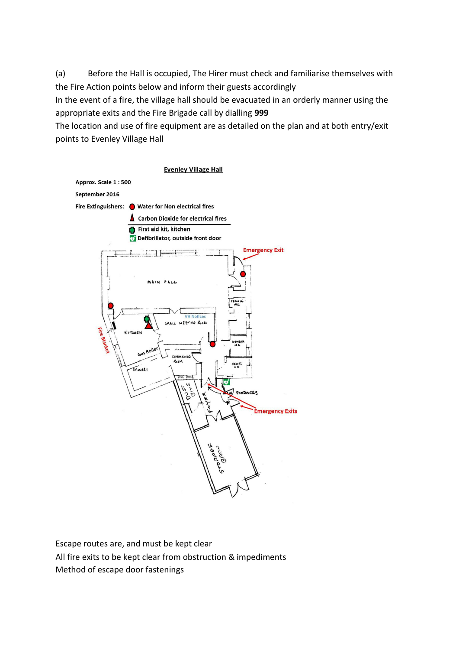(a) Before the Hall is occupied, The Hirer must check and familiarise themselves with the Fire Action points below and inform their guests accordingly

In the event of a fire, the village hall should be evacuated in an orderly manner using the appropriate exits and the Fire Brigade call by dialling **999**

The location and use of fire equipment are as detailed on the plan and at both entry/exit points to Evenley Village Hall



Escape routes are, and must be kept clear All fire exits to be kept clear from obstruction & impediments Method of escape door fastenings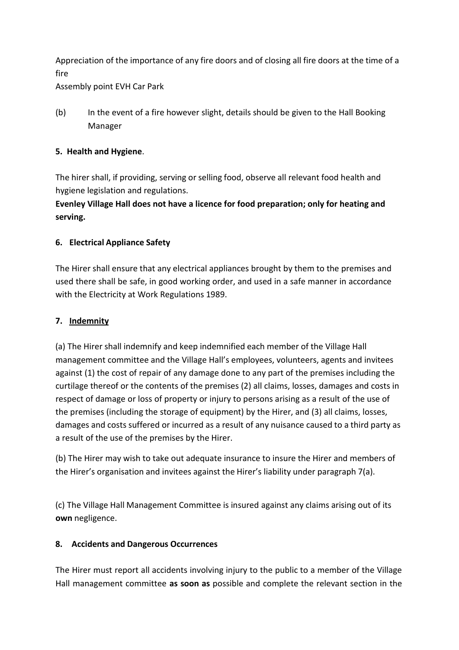Appreciation of the importance of any fire doors and of closing all fire doors at the time of a fire

Assembly point EVH Car Park

(b) In the event of a fire however slight, details should be given to the Hall Booking Manager

## **5. Health and Hygiene**.

The hirer shall, if providing, serving or selling food, observe all relevant food health and hygiene legislation and regulations.

**Evenley Village Hall does not have a licence for food preparation; only for heating and serving.**

## **6. Electrical Appliance Safety**

The Hirer shall ensure that any electrical appliances brought by them to the premises and used there shall be safe, in good working order, and used in a safe manner in accordance with the Electricity at Work Regulations 1989.

## **7. Indemnity**

(a) The Hirer shall indemnify and keep indemnified each member of the Village Hall management committee and the Village Hall's employees, volunteers, agents and invitees against (1) the cost of repair of any damage done to any part of the premises including the curtilage thereof or the contents of the premises (2) all claims, losses, damages and costs in respect of damage or loss of property or injury to persons arising as a result of the use of the premises (including the storage of equipment) by the Hirer, and (3) all claims, losses, damages and costs suffered or incurred as a result of any nuisance caused to a third party as a result of the use of the premises by the Hirer.

(b) The Hirer may wish to take out adequate insurance to insure the Hirer and members of the Hirer's organisation and invitees against the Hirer's liability under paragraph 7(a).

(c) The Village Hall Management Committee is insured against any claims arising out of its **own** negligence.

#### **8. Accidents and Dangerous Occurrences**

The Hirer must report all accidents involving injury to the public to a member of the Village Hall management committee **as soon as** possible and complete the relevant section in the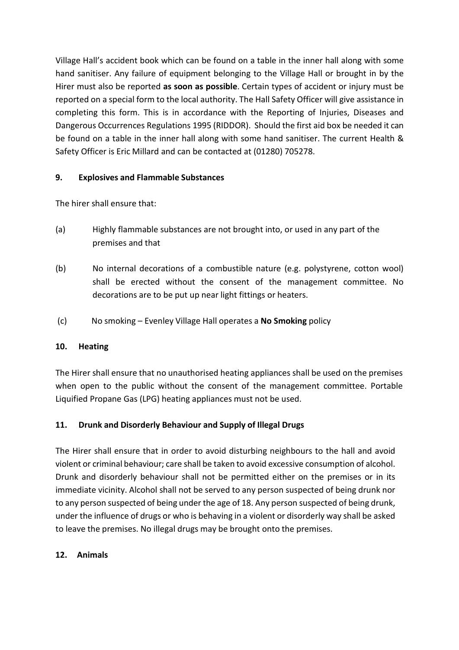Village Hall's accident book which can be found on a table in the inner hall along with some hand sanitiser. Any failure of equipment belonging to the Village Hall or brought in by the Hirer must also be reported **as soon as possible**. Certain types of accident or injury must be reported on a special form to the local authority. The Hall Safety Officer will give assistance in completing this form. This is in accordance with the Reporting of Injuries, Diseases and Dangerous Occurrences Regulations 1995 (RIDDOR). Should the first aid box be needed it can be found on a table in the inner hall along with some hand sanitiser. The current Health & Safety Officer is Eric Millard and can be contacted at (01280) 705278.

## **9. Explosives and Flammable Substances**

The hirer shall ensure that:

- (a) Highly flammable substances are not brought into, or used in any part of the premises and that
- (b) No internal decorations of a combustible nature (e.g. polystyrene, cotton wool) shall be erected without the consent of the management committee. No decorations are to be put up near light fittings or heaters.
- (c) No smoking Evenley Village Hall operates a **No Smoking** policy

#### **10. Heating**

The Hirer shall ensure that no unauthorised heating appliances shall be used on the premises when open to the public without the consent of the management committee. Portable Liquified Propane Gas (LPG) heating appliances must not be used.

#### **11. Drunk and Disorderly Behaviour and Supply of Illegal Drugs**

The Hirer shall ensure that in order to avoid disturbing neighbours to the hall and avoid violent or criminal behaviour; care shall be taken to avoid excessive consumption of alcohol. Drunk and disorderly behaviour shall not be permitted either on the premises or in its immediate vicinity. Alcohol shall not be served to any person suspected of being drunk nor to any person suspected of being under the age of 18. Any person suspected of being drunk, under the influence of drugs or who is behaving in a violent or disorderly way shall be asked to leave the premises. No illegal drugs may be brought onto the premises.

#### **12. Animals**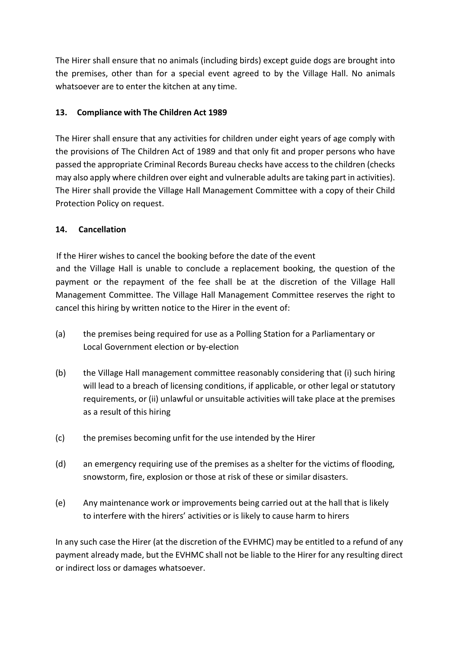The Hirer shall ensure that no animals (including birds) except guide dogs are brought into the premises, other than for a special event agreed to by the Village Hall. No animals whatsoever are to enter the kitchen at any time.

# **13. Compliance with The Children Act 1989**

The Hirer shall ensure that any activities for children under eight years of age comply with the provisions of The Children Act of 1989 and that only fit and proper persons who have passed the appropriate Criminal Records Bureau checks have access to the children (checks may also apply where children over eight and vulnerable adults are taking part in activities). The Hirer shall provide the Village Hall Management Committee with a copy of their Child Protection Policy on request.

## **14. Cancellation**

If the Hirer wishes to cancel the booking before the date of the event and the Village Hall is unable to conclude a replacement booking, the question of the payment or the repayment of the fee shall be at the discretion of the Village Hall Management Committee. The Village Hall Management Committee reserves the right to cancel this hiring by written notice to the Hirer in the event of:

- (a) the premises being required for use as a Polling Station for a Parliamentary or Local Government election or by-election
- (b) the Village Hall management committee reasonably considering that (i) such hiring will lead to a breach of licensing conditions, if applicable, or other legal or statutory requirements, or (ii) unlawful or unsuitable activities will take place at the premises as a result of this hiring
- (c) the premises becoming unfit for the use intended by the Hirer
- (d) an emergency requiring use of the premises as a shelter for the victims of flooding, snowstorm, fire, explosion or those at risk of these or similar disasters.
- (e) Any maintenance work or improvements being carried out at the hall that is likely to interfere with the hirers' activities or is likely to cause harm to hirers

In any such case the Hirer (at the discretion of the EVHMC) may be entitled to a refund of any payment already made, but the EVHMC shall not be liable to the Hirer for any resulting direct or indirect loss or damages whatsoever.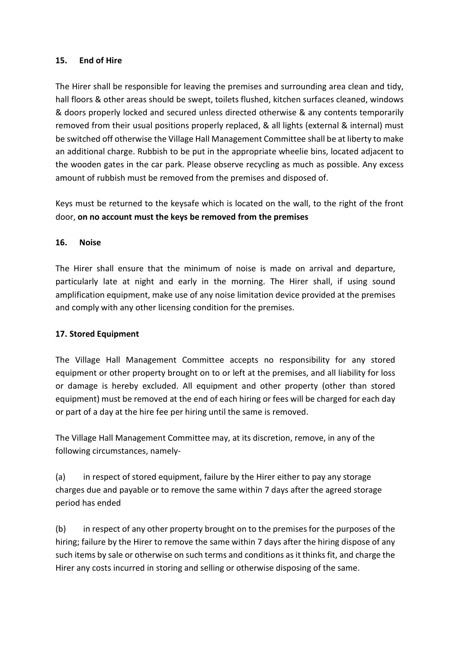#### **15. End of Hire**

The Hirer shall be responsible for leaving the premises and surrounding area clean and tidy, hall floors & other areas should be swept, toilets flushed, kitchen surfaces cleaned, windows & doors properly locked and secured unless directed otherwise & any contents temporarily removed from their usual positions properly replaced, & all lights (external & internal) must be switched off otherwise the Village Hall Management Committee shall be at liberty to make an additional charge. Rubbish to be put in the appropriate wheelie bins, located adjacent to the wooden gates in the car park. Please observe recycling as much as possible. Any excess amount of rubbish must be removed from the premises and disposed of.

Keys must be returned to the keysafe which is located on the wall, to the right of the front door, **on no account must the keys be removed from the premises**

#### **16. Noise**

The Hirer shall ensure that the minimum of noise is made on arrival and departure, particularly late at night and early in the morning. The Hirer shall, if using sound amplification equipment, make use of any noise limitation device provided at the premises and comply with any other licensing condition for the premises.

#### **17. Stored Equipment**

The Village Hall Management Committee accepts no responsibility for any stored equipment or other property brought on to or left at the premises, and all liability for loss or damage is hereby excluded. All equipment and other property (other than stored equipment) must be removed at the end of each hiring or fees will be charged for each day or part of a day at the hire fee per hiring until the same is removed.

The Village Hall Management Committee may, at its discretion, remove, in any of the following circumstances, namely-

(a) in respect of stored equipment, failure by the Hirer either to pay any storage charges due and payable or to remove the same within 7 days after the agreed storage period has ended

(b) in respect of any other property brought on to the premises for the purposes of the hiring; failure by the Hirer to remove the same within 7 days after the hiring dispose of any such items by sale or otherwise on such terms and conditions as it thinks fit, and charge the Hirer any costs incurred in storing and selling or otherwise disposing of the same.